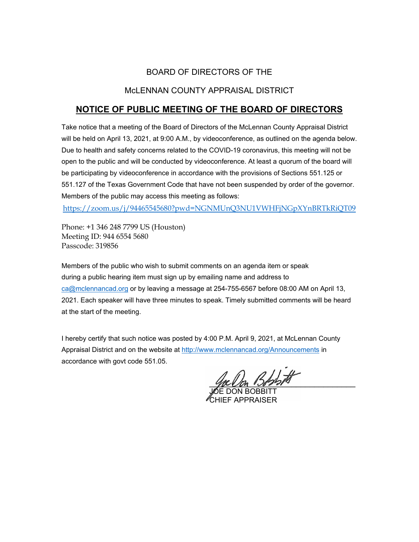## BOARD OF DIRECTORS OF THE

## McLENNAN COUNTY APPRAISAL DISTRICT

# **NOTICE OF PUBLIC MEETING OF THE BOARD OF DIRECTORS**

Take notice that a meeting of the Board of Directors of the McLennan County Appraisal District will be held on April 13, 2021, at 9:00 A.M., by videoconference, as outlined on the agenda below. Due to health and safety concerns related to the COVID-19 coronavirus, this meeting will not be open to the public and will be conducted by videoconference. At least a quorum of the board will be participating by videoconference in accordance with the provisions of Sections 551.125 or 551.127 of the Texas Government Code that have not been suspended by order of the governor. Members of the public may access this meeting as follows:

<https://zoom.us/j/94465545680?pwd=NGNMUnQ3NU1VWHFjNGpXYnBRTkRiQT09>

Phone: +1 346 248 7799 US (Houston) Meeting ID: 944 6554 5680 Passcode: 319856

Members of the public who wish to submit comments on an agenda item or speak during a public hearing item must sign up by emailing name and address to [ca@mclennancad.org](mailto:ca@mclennancad.org) or by leaving a message at 254-755-6567 before 08:00 AM on April 13, 2021. Each speaker will have three minutes to speak. Timely submitted comments will be heard at the start of the meeting.

I hereby certify that such notice was posted by 4:00 P.M. April 9, 2021, at McLennan County Appraisal District and on the website at [http://www.mclennancad.org/Announcements](http://www.mclennancad.org/index.php/Announcements) in accordance with govt code 551.05.

We Un Dorri

JOE DON BOBBITT CHIEF APPRAISER